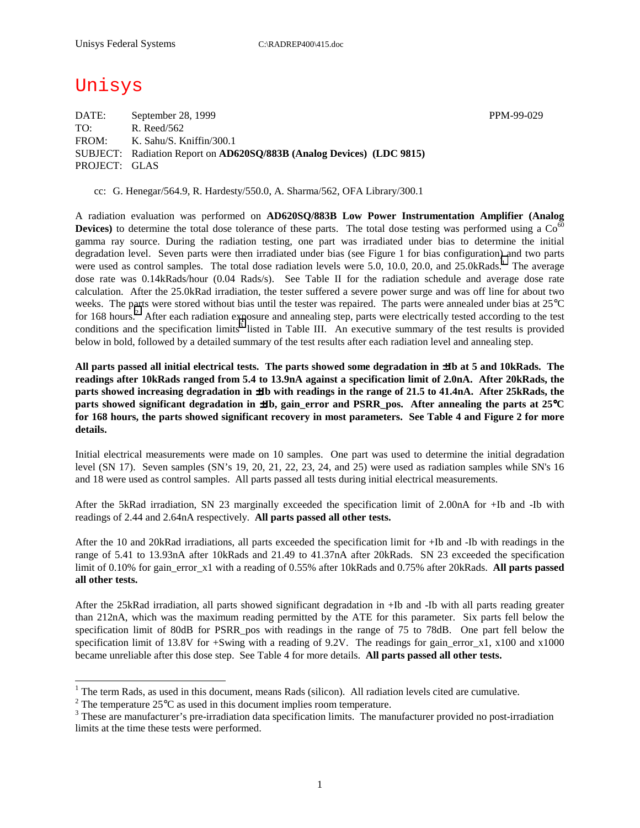# Unisys

DATE: September 28, 1999 PPM-99-029 TO: R. Reed/562 FROM: K. Sahu/S. Kniffin/300.1 SUBJECT: Radiation Report on **AD620SQ/883B (Analog Devices) (LDC 9815)** PROJECT: GLAS

cc: G. Henegar/564.9, R. Hardesty/550.0, A. Sharma/562, OFA Library/300.1

A radiation evaluation was performed on **AD620SQ/883B Low Power Instrumentation Amplifier (Analog Devices**) to determine the total dose tolerance of these parts. The total dose testing was performed using a  $Co<sup>60</sup>$ gamma ray source. During the radiation testing, one part was irradiated under bias to determine the initial degradation level. Seven parts were then irradiated under bias (see Figure 1 for bias configuration) and two parts were used as control samples. The total dose radiation levels were 5.0, 10.0, 20.0, and 25.0kRads.<sup>1</sup> The average dose rate was 0.14kRads/hour (0.04 Rads/s). See Table II for the radiation schedule and average dose rate calculation. After the 25.0kRad irradiation, the tester suffered a severe power surge and was off line for about two weeks. The parts were stored without bias until the tester was repaired. The parts were annealed under bias at 25°C for 168 hours.<sup>2</sup> After each radiation exposure and annealing step, parts were electrically tested according to the test conditions and the specification limits<sup>3</sup> listed in Table III. An executive summary of the test results is provided below in bold, followed by a detailed summary of the test results after each radiation level and annealing step.

**All parts passed all initial electrical tests. The parts showed some degradation in** ±**Ib at 5 and 10kRads. The readings after 10kRads ranged from 5.4 to 13.9nA against a specification limit of 2.0nA. After 20kRads, the parts showed increasing degradation in** ±**Ib with readings in the range of 21.5 to 41.4nA. After 25kRads, the parts showed significant degradation in**  $\pm$ **Ib, gain error and PSRR pos. After annealing the parts at 25<sup>°</sup>C for 168 hours, the parts showed significant recovery in most parameters. See Table 4 and Figure 2 for more details.** 

Initial electrical measurements were made on 10 samples. One part was used to determine the initial degradation level (SN 17). Seven samples (SN's 19, 20, 21, 22, 23, 24, and 25) were used as radiation samples while SN's 16 and 18 were used as control samples. All parts passed all tests during initial electrical measurements.

After the 5kRad irradiation, SN 23 marginally exceeded the specification limit of 2.00nA for +Ib and -Ib with readings of 2.44 and 2.64nA respectively. **All parts passed all other tests.**

After the 10 and 20kRad irradiations, all parts exceeded the specification limit for +Ib and -Ib with readings in the range of 5.41 to 13.93nA after 10kRads and 21.49 to 41.37nA after 20kRads. SN 23 exceeded the specification limit of 0.10% for gain\_error\_x1 with a reading of 0.55% after 10kRads and 0.75% after 20kRads. **All parts passed all other tests.**

After the 25kRad irradiation, all parts showed significant degradation in +Ib and -Ib with all parts reading greater than 212nA, which was the maximum reading permitted by the ATE for this parameter. Six parts fell below the specification limit of 80dB for PSRR\_pos with readings in the range of 75 to 78dB. One part fell below the specification limit of 13.8V for +Swing with a reading of 9.2V. The readings for gain error x1, x100 and x1000 became unreliable after this dose step. See Table 4 for more details. **All parts passed all other tests.**

<sup>&</sup>lt;sup>1</sup> The term Rads, as used in this document, means Rads (silicon). All radiation levels cited are cumulative.

<sup>&</sup>lt;sup>2</sup> The temperature 25 $^{\circ}$ C as used in this document implies room temperature.  $^3$  These are manufacturer's are irrediction date apositionism limits. The manufacturer's

<sup>&</sup>lt;sup>3</sup> These are manufacturer's pre-irradiation data specification limits. The manufacturer provided no post-irradiation limits at the time these tests were performed.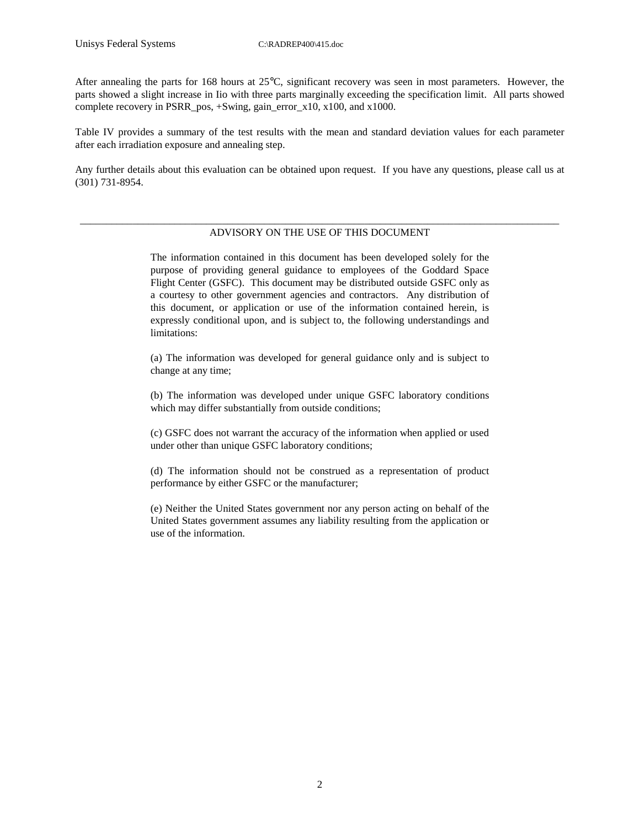After annealing the parts for 168 hours at 25°C, significant recovery was seen in most parameters. However, the parts showed a slight increase in Iio with three parts marginally exceeding the specification limit. All parts showed complete recovery in PSRR\_pos, +Swing, gain\_error\_x10, x100, and x1000.

Table IV provides a summary of the test results with the mean and standard deviation values for each parameter after each irradiation exposure and annealing step.

Any further details about this evaluation can be obtained upon request. If you have any questions, please call us at (301) 731-8954.

#### \_\_\_\_\_\_\_\_\_\_\_\_\_\_\_\_\_\_\_\_\_\_\_\_\_\_\_\_\_\_\_\_\_\_\_\_\_\_\_\_\_\_\_\_\_\_\_\_\_\_\_\_\_\_\_\_\_\_\_\_\_\_\_\_\_\_\_\_\_\_\_\_\_\_\_\_\_\_\_\_\_\_\_\_\_\_\_\_\_\_\_ ADVISORY ON THE USE OF THIS DOCUMENT

The information contained in this document has been developed solely for the purpose of providing general guidance to employees of the Goddard Space Flight Center (GSFC). This document may be distributed outside GSFC only as a courtesy to other government agencies and contractors. Any distribution of this document, or application or use of the information contained herein, is expressly conditional upon, and is subject to, the following understandings and limitations:

(a) The information was developed for general guidance only and is subject to change at any time;

(b) The information was developed under unique GSFC laboratory conditions which may differ substantially from outside conditions;

(c) GSFC does not warrant the accuracy of the information when applied or used under other than unique GSFC laboratory conditions;

(d) The information should not be construed as a representation of product performance by either GSFC or the manufacturer;

(e) Neither the United States government nor any person acting on behalf of the United States government assumes any liability resulting from the application or use of the information.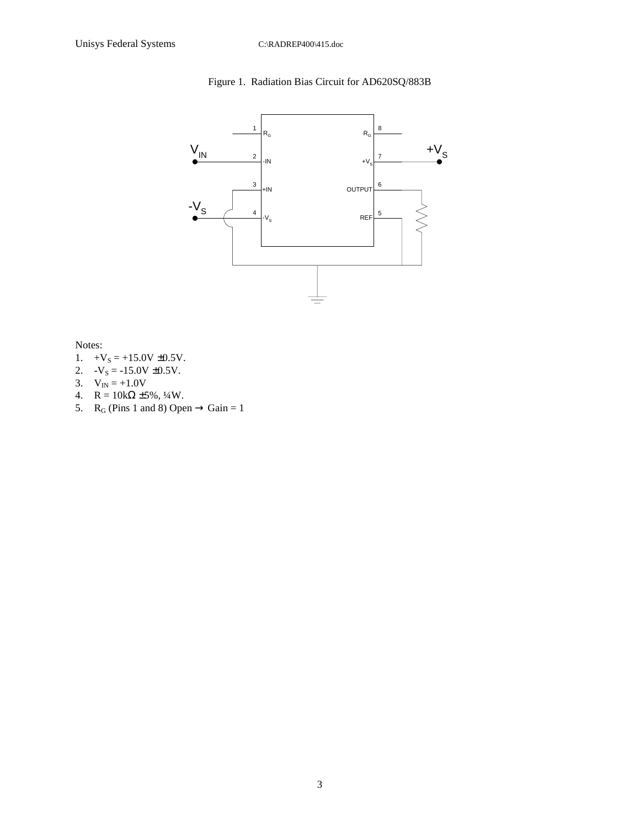### Figure 1. Radiation Bias Circuit for AD620SQ/883B



Notes:

- 1.  $+V_s = +15.0V \pm 0.5V$ .
- 2.  $-V_s = -15.0V \pm 0.5V$ .
- 3.  $V_{IN} = +1.0V$
- 4.  $R = 10k\Omega \pm 5\%, \frac{1}{4}W$ .
- 5. R<sub>G</sub> (Pins 1 and 8) Open  $\rightarrow$  Gain = 1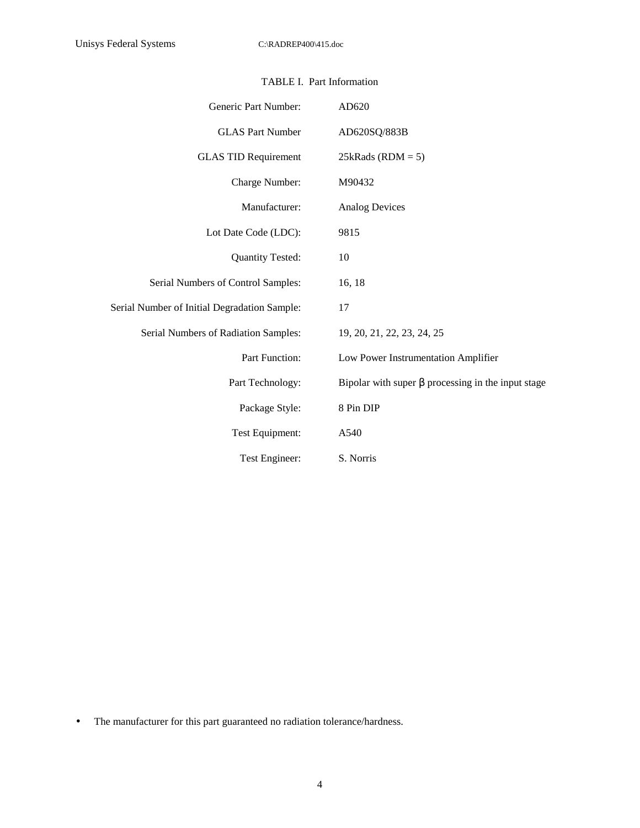| Generic Part Number:                         | AD620                                                    |
|----------------------------------------------|----------------------------------------------------------|
| <b>GLAS Part Number</b>                      | AD620SQ/883B                                             |
| <b>GLAS TID Requirement</b>                  | $25kRads (RDM = 5)$                                      |
| Charge Number:                               | M90432                                                   |
| Manufacturer:                                | <b>Analog Devices</b>                                    |
| Lot Date Code (LDC):                         | 9815                                                     |
| <b>Quantity Tested:</b>                      | 10                                                       |
| Serial Numbers of Control Samples:           | 16, 18                                                   |
| Serial Number of Initial Degradation Sample: | 17                                                       |
| Serial Numbers of Radiation Samples:         | 19, 20, 21, 22, 23, 24, 25                               |
| Part Function:                               | Low Power Instrumentation Amplifier                      |
| Part Technology:                             | Bipolar with super $\beta$ processing in the input stage |
| Package Style:                               | 8 Pin DIP                                                |
| Test Equipment:                              | A540                                                     |
| Test Engineer:                               | S. Norris                                                |

#### TABLE I. Part Information

• The manufacturer for this part guaranteed no radiation tolerance/hardness.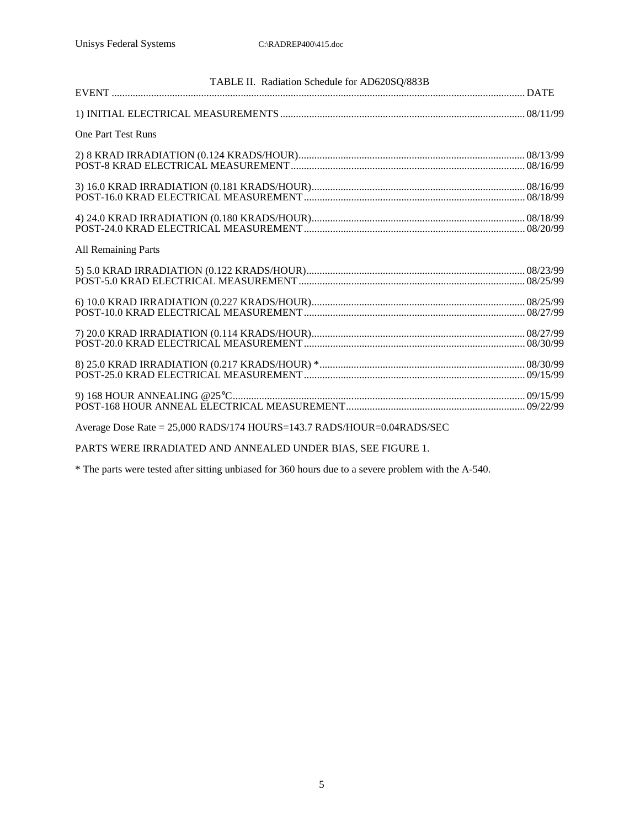| TABLE II. Radiation Schedule for AD620SQ/883B                          |  |
|------------------------------------------------------------------------|--|
|                                                                        |  |
| <b>One Part Test Runs</b>                                              |  |
|                                                                        |  |
|                                                                        |  |
|                                                                        |  |
| <b>All Remaining Parts</b>                                             |  |
|                                                                        |  |
|                                                                        |  |
|                                                                        |  |
|                                                                        |  |
|                                                                        |  |
| Average Dose Rate = 25,000 RADS/174 HOURS=143.7 RADS/HOUR=0.04RADS/SEC |  |

PARTS WERE IRRADIATED AND ANNEALED UNDER BIAS, SEE FIGURE 1.

\* The parts were tested after sitting unbiased for 360 hours due to a severe problem with the A-540.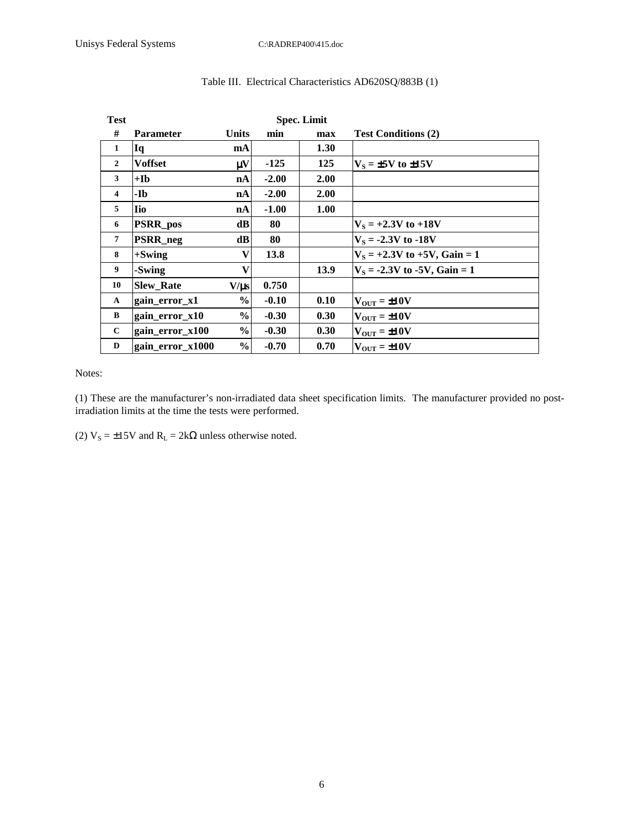| <b>Test</b>             | <b>Spec. Limit</b> |               |         |             |                                   |  |  |  |
|-------------------------|--------------------|---------------|---------|-------------|-----------------------------------|--|--|--|
| #                       | <b>Parameter</b>   | <b>Units</b>  | min     | max         | <b>Test Conditions (2)</b>        |  |  |  |
| 1                       | Iq                 | mA            |         | 1.30        |                                   |  |  |  |
| $\overline{2}$          | <b>Voffset</b>     | μV            | $-125$  | 125         | $V_s = \pm 5V$ to $\pm 15V$       |  |  |  |
| 3                       | $+$ Ib             | nA            | $-2.00$ | <b>2.00</b> |                                   |  |  |  |
| $\overline{\mathbf{4}}$ | -Ib                | nA            | $-2.00$ | 2.00        |                                   |  |  |  |
| 5                       | lio                | nA            | $-1.00$ | 1.00        |                                   |  |  |  |
| 6                       | <b>PSRR_pos</b>    | dB            | 80      |             | $V_s = +2.3V$ to $+18V$           |  |  |  |
| 7                       | <b>PSRR</b> neg    | dB            | 80      |             | $V_s = -2.3V$ to -18V             |  |  |  |
| 8                       | $+$ Swing          | V             | 13.8    |             | $V_s = +2.3V$ to $+5V$ , Gain = 1 |  |  |  |
| 9                       | -Swing             | V             |         | 13.9        | $V_s = -2.3V$ to -5V, Gain = 1    |  |  |  |
| 10                      | <b>Slew_Rate</b>   | $V/\mu s$     | 0.750   |             |                                   |  |  |  |
| A                       | gain_error_x1      | $\%$          | $-0.10$ | 0.10        | $V_{\text{OUT}} = \pm 10V$        |  |  |  |
| B                       | gain_error_x10     | $\frac{6}{6}$ | $-0.30$ | 0.30        | $V_{\text{OUT}} = \pm 10 V$       |  |  |  |
| $\mathbf{C}$            | gain_error_x100    | $\frac{0}{0}$ | $-0.30$ | 0.30        | $V_{\text{OUT}} = \pm 10V$        |  |  |  |
| D                       | gain_error_x1000   | $\frac{0}{0}$ | $-0.70$ | 0.70        | $V_{\text{OUT}} = \pm 10V$        |  |  |  |

## Table III. Electrical Characteristics AD620SQ/883B (1)

Notes:

(1) These are the manufacturer's non-irradiated data sheet specification limits. The manufacturer provided no postirradiation limits at the time the tests were performed.

(2)  $V_s = \pm 15V$  and  $R_L = 2k\Omega$  unless otherwise noted.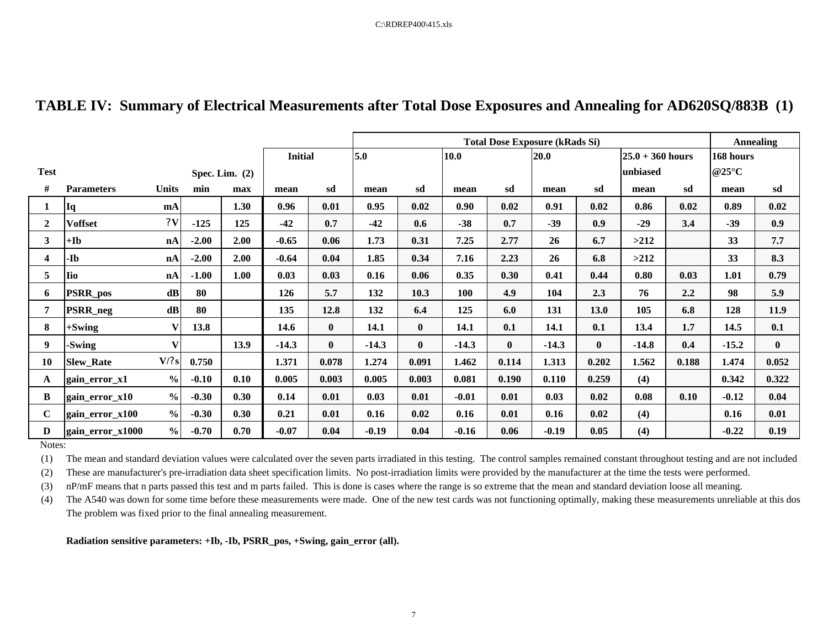| TABLE IV: Summary of Electrical Measurements after Total Dose Exposures and Annealing for AD620SQ/883B (1) |  |  |
|------------------------------------------------------------------------------------------------------------|--|--|
|------------------------------------------------------------------------------------------------------------|--|--|

|              |                       |               |         |                  |                |              | <b>Total Dose Exposure (kRads Si)</b> |              |         |          |             |              | <b>Annealing</b> |                    |                          |              |
|--------------|-----------------------|---------------|---------|------------------|----------------|--------------|---------------------------------------|--------------|---------|----------|-------------|--------------|------------------|--------------------|--------------------------|--------------|
|              |                       |               |         |                  | <b>Initial</b> |              | 5.0<br>10.0                           |              |         |          | <b>20.0</b> |              |                  | $25.0 + 360$ hours |                          |              |
| <b>Test</b>  |                       |               |         | Spec. Lim. $(2)$ |                |              |                                       |              |         |          |             |              | unbiased         |                    | @25 $\mathrm{^{\circ}C}$ |              |
| #            | <b>Parameters</b>     | <b>Units</b>  | min     | max              | mean           | sd           | mean                                  | sd           | mean    | sd       | mean        | sd           | mean             | sd                 | mean                     | sd           |
|              | Iq                    | mA            |         | 1.30             | 0.96           | 0.01         | 0.95                                  | 0.02         | 0.90    | 0.02     | 0.91        | 0.02         | 0.86             | 0.02               | 0.89                     | 0.02         |
| $\mathbf{2}$ | <b>Voffset</b>        | 2V            | $-125$  | 125              | $-42$          | 0.7          | $-42$                                 | 0.6          | $-38$   | 0.7      | $-39$       | 0.9          | $-29$            | 3.4                | $-39$                    | 0.9          |
| 3            | $+$ <b>I</b> $\bf{b}$ | nA            | $-2.00$ | 2.00             | $-0.65$        | 0.06         | 1.73                                  | 0.31         | 7.25    | 2.77     | 26          | 6.7          | >212             |                    | 33                       | 7.7          |
| 4            | -Ib                   | nA            | $-2.00$ | 2.00             | $-0.64$        | 0.04         | 1.85                                  | 0.34         | 7.16    | 2.23     | 26          | 6.8          | >212             |                    | 33                       | 8.3          |
| 5            | lio                   | nA            | $-1.00$ | 1.00             | 0.03           | 0.03         | 0.16                                  | 0.06         | 0.35    | 0.30     | 0.41        | 0.44         | 0.80             | 0.03               | 1.01                     | 0.79         |
| 6            | <b>PSRR_pos</b>       | $\mathbf{dB}$ | 80      |                  | 126            | 5.7          | 132                                   | 10.3         | 100     | 4.9      | 104         | 2.3          | 76               | 2.2                | 98                       | 5.9          |
| 7            | <b>PSRR_neg</b>       | $\mathbf{dB}$ | 80      |                  | 135            | 12.8         | 132                                   | 6.4          | 125     | 6.0      | 131         | <b>13.0</b>  | 105              | 6.8                | 128                      | 11.9         |
| 8            | $+$ Swing             | $\mathbf{V}$  | 13.8    |                  | 14.6           | $\mathbf{0}$ | 14.1                                  | $\mathbf{0}$ | 14.1    | 0.1      | 14.1        | 0.1          | 13.4             | 1.7                | 14.5                     | 0.1          |
| 9            | -Swing                | $\mathbf{V}$  |         | 13.9             | $-14.3$        | $\mathbf{0}$ | $-14.3$                               | $\mathbf{0}$ | $-14.3$ | $\bf{0}$ | $-14.3$     | $\mathbf{0}$ | $-14.8$          | 0.4                | $-15.2$                  | $\mathbf{0}$ |
| 10           | <b>Slew Rate</b>      | V/?s          | 0.750   |                  | 1.371          | 0.078        | 1.274                                 | 0.091        | 1.462   | 0.114    | 1.313       | 0.202        | 1.562            | 0.188              | 1.474                    | 0.052        |
| A            | gain_error_x1         | $\%$          | $-0.10$ | 0.10             | 0.005          | 0.003        | 0.005                                 | 0.003        | 0.081   | 0.190    | 0.110       | 0.259        | (4)              |                    | 0.342                    | 0.322        |
| B            | gain_error_x10        | $\frac{0}{0}$ | $-0.30$ | 0.30             | 0.14           | 0.01         | 0.03                                  | 0.01         | $-0.01$ | 0.01     | 0.03        | 0.02         | 0.08             | 0.10               | $-0.12$                  | 0.04         |
| $\mathbf C$  | gain_error_x100       | $\frac{0}{0}$ | $-0.30$ | 0.30             | 0.21           | 0.01         | 0.16                                  | 0.02         | 0.16    | 0.01     | 0.16        | 0.02         | (4)              |                    | 0.16                     | 0.01         |
| D            | gain_error_x1000      | $\frac{0}{0}$ | $-0.70$ | 0.70             | $-0.07$        | 0.04         | $-0.19$                               | 0.04         | $-0.16$ | 0.06     | $-0.19$     | 0.05         | (4)              |                    | $-0.22$                  | 0.19         |

Notes:

(1) The mean and standard deviation values were calculated over the seven parts irradiated in this testing. The control samples remained constant throughout testing and are not included and

(2) These are manufacturer's pre-irradiation data sheet specification limits. No post-irradiation limits were provided by the manufacturer at the time the tests were performed.

(3) nP/mF means that n parts passed this test and m parts failed. This is done is cases where the range is so extreme that the mean and standard deviation loose all meaning.

(4) The A540 was down for some time before these measurements were made. One of the new test cards was not functioning optimally, making these measurements unreliable at this dos The problem was fixed prior to the final annealing measurement.

**Radiation sensitive parameters: +Ib, -Ib, PSRR\_pos, +Swing, gain\_error (all).**